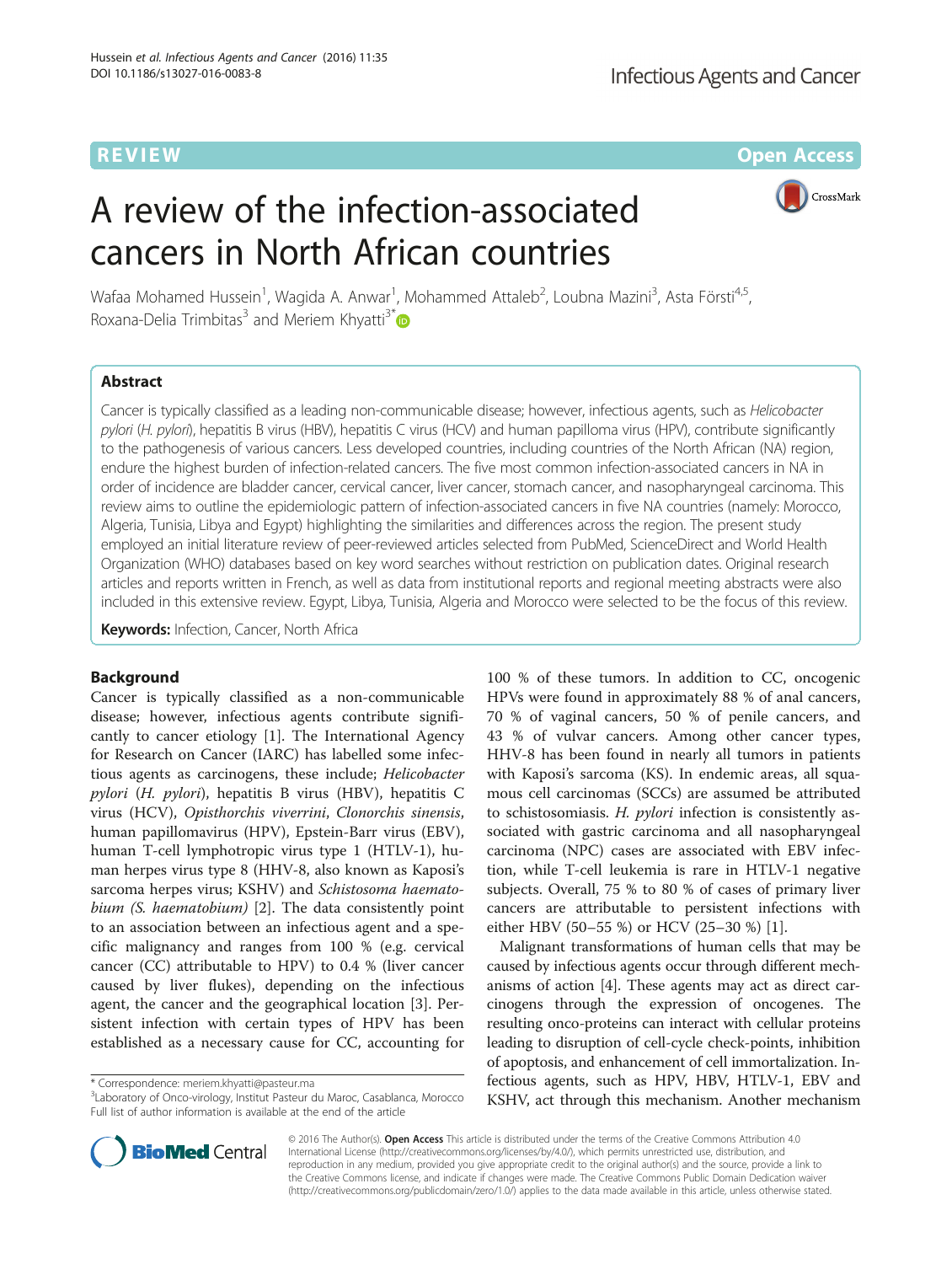**Infectious Agents and Cancer** 

REVIEW **REVIEW REVIEW CONSTRUCTER CONSTRUCTS** 

# A review of the infection-associated cancers in North African countries



Wafaa Mohamed Hussein<sup>1</sup>, Wagida A. Anwar<sup>1</sup>, Mohammed Attaleb<sup>2</sup>, Loubna Mazini<sup>3</sup>, Asta Försti<sup>4,5</sup>, Roxana-Delia Trimbitas<sup>3</sup> and Meriem Khyatti<sup>3\*</sup>

# Abstract

Cancer is typically classified as a leading non-communicable disease; however, infectious agents, such as Helicobacter pylori (H. pylori), hepatitis B virus (HBV), hepatitis C virus (HCV) and human papilloma virus (HPV), contribute significantly to the pathogenesis of various cancers. Less developed countries, including countries of the North African (NA) region, endure the highest burden of infection-related cancers. The five most common infection-associated cancers in NA in order of incidence are bladder cancer, cervical cancer, liver cancer, stomach cancer, and nasopharyngeal carcinoma. This review aims to outline the epidemiologic pattern of infection-associated cancers in five NA countries (namely: Morocco, Algeria, Tunisia, Libya and Egypt) highlighting the similarities and differences across the region. The present study employed an initial literature review of peer-reviewed articles selected from PubMed, ScienceDirect and World Health Organization (WHO) databases based on key word searches without restriction on publication dates. Original research articles and reports written in French, as well as data from institutional reports and regional meeting abstracts were also included in this extensive review. Egypt, Libya, Tunisia, Algeria and Morocco were selected to be the focus of this review.

Keywords: Infection, Cancer, North Africa

# Background

Cancer is typically classified as a non-communicable disease; however, infectious agents contribute significantly to cancer etiology [\[1](#page-9-0)]. The International Agency for Research on Cancer (IARC) has labelled some infectious agents as carcinogens, these include; Helicobacter pylori (H. pylori), hepatitis B virus (HBV), hepatitis C virus (HCV), Opisthorchis viverrini, Clonorchis sinensis, human papillomavirus (HPV), Epstein-Barr virus (EBV), human T-cell lymphotropic virus type 1 (HTLV-1), human herpes virus type 8 (HHV-8, also known as Kaposi's sarcoma herpes virus; KSHV) and Schistosoma haemato-bium (S. haematobium) [\[2\]](#page-9-0). The data consistently point to an association between an infectious agent and a specific malignancy and ranges from 100 % (e.g. cervical cancer (CC) attributable to HPV) to 0.4 % (liver cancer caused by liver flukes), depending on the infectious agent, the cancer and the geographical location [[3\]](#page-9-0). Persistent infection with certain types of HPV has been established as a necessary cause for CC, accounting for

100 % of these tumors. In addition to CC, oncogenic HPVs were found in approximately 88 % of anal cancers, 70 % of vaginal cancers, 50 % of penile cancers, and 43 % of vulvar cancers. Among other cancer types, HHV-8 has been found in nearly all tumors in patients with Kaposi's sarcoma (KS). In endemic areas, all squamous cell carcinomas (SCCs) are assumed be attributed to schistosomiasis. H. pylori infection is consistently associated with gastric carcinoma and all nasopharyngeal carcinoma (NPC) cases are associated with EBV infection, while T-cell leukemia is rare in HTLV-1 negative subjects. Overall, 75 % to 80 % of cases of primary liver cancers are attributable to persistent infections with either HBV (50–55 %) or HCV (25–30 %) [[1\]](#page-9-0).

Malignant transformations of human cells that may be caused by infectious agents occur through different mechanisms of action [[4](#page-9-0)]. These agents may act as direct carcinogens through the expression of oncogenes. The resulting onco-proteins can interact with cellular proteins leading to disruption of cell-cycle check-points, inhibition of apoptosis, and enhancement of cell immortalization. Infectious agents, such as HPV, HBV, HTLV-1, EBV and KSHV, act through this mechanism. Another mechanism



© 2016 The Author(s). Open Access This article is distributed under the terms of the Creative Commons Attribution 4.0 International License [\(http://creativecommons.org/licenses/by/4.0/](http://creativecommons.org/licenses/by/4.0/)), which permits unrestricted use, distribution, and reproduction in any medium, provided you give appropriate credit to the original author(s) and the source, provide a link to the Creative Commons license, and indicate if changes were made. The Creative Commons Public Domain Dedication waiver [\(http://creativecommons.org/publicdomain/zero/1.0/](http://creativecommons.org/publicdomain/zero/1.0/)) applies to the data made available in this article, unless otherwise stated.

<sup>\*</sup> Correspondence: [meriem.khyatti@pasteur.ma](mailto:meriem.khyatti@pasteur.ma) <sup>3</sup>

Laboratory of Onco-virology, Institut Pasteur du Maroc, Casablanca, Morocco Full list of author information is available at the end of the article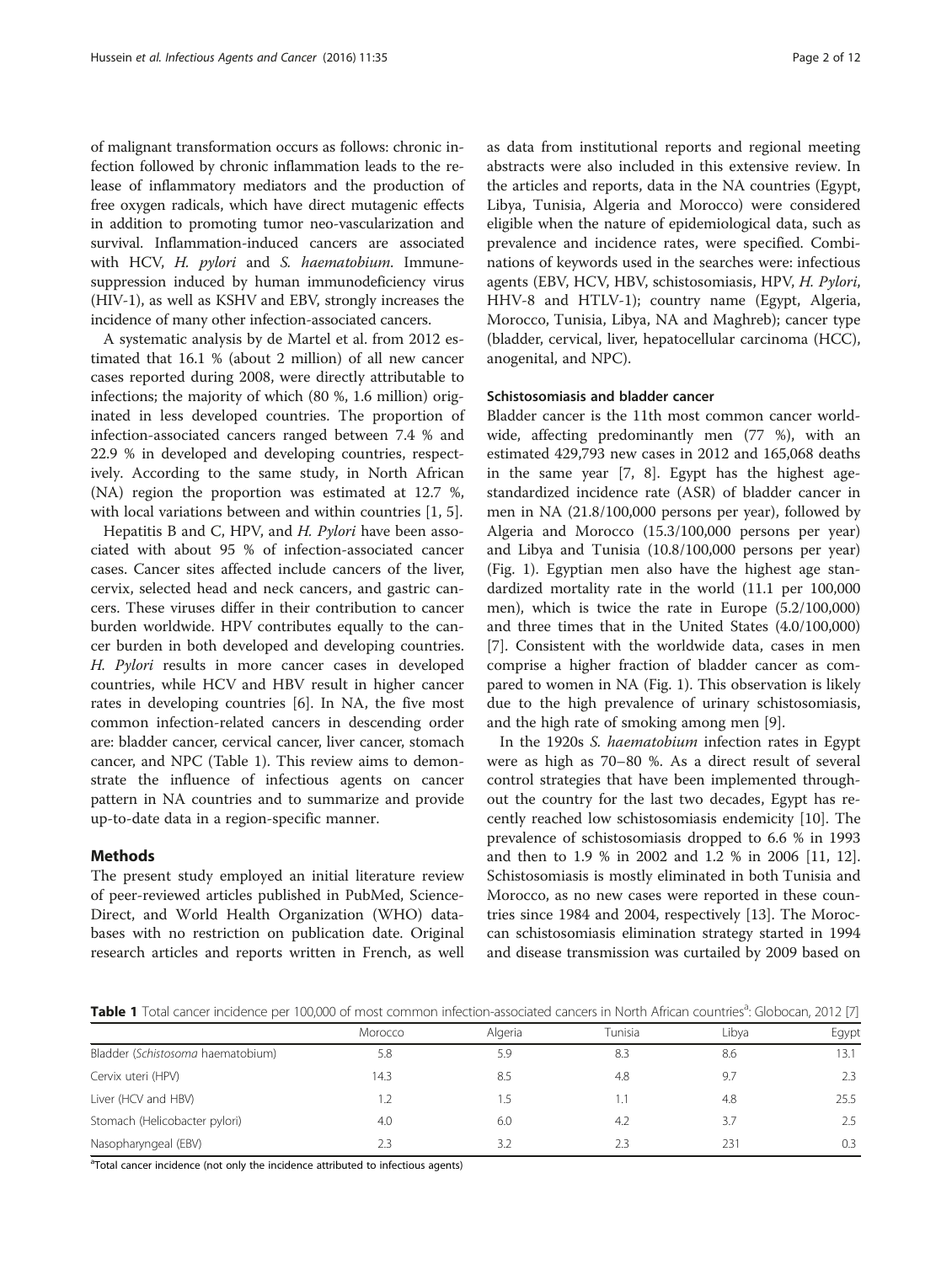of malignant transformation occurs as follows: chronic infection followed by chronic inflammation leads to the release of inflammatory mediators and the production of free oxygen radicals, which have direct mutagenic effects in addition to promoting tumor neo-vascularization and survival. Inflammation-induced cancers are associated with HCV, H. pylori and S. haematobium. Immunesuppression induced by human immunodeficiency virus (HIV-1), as well as KSHV and EBV, strongly increases the incidence of many other infection-associated cancers.

A systematic analysis by de Martel et al. from 2012 estimated that 16.1 % (about 2 million) of all new cancer cases reported during 2008, were directly attributable to infections; the majority of which (80 %, 1.6 million) originated in less developed countries. The proportion of infection-associated cancers ranged between 7.4 % and 22.9 % in developed and developing countries, respectively. According to the same study, in North African (NA) region the proportion was estimated at 12.7 %, with local variations between and within countries [\[1](#page-9-0), [5](#page-9-0)].

Hepatitis B and C, HPV, and H. Pylori have been associated with about 95 % of infection-associated cancer cases. Cancer sites affected include cancers of the liver, cervix, selected head and neck cancers, and gastric cancers. These viruses differ in their contribution to cancer burden worldwide. HPV contributes equally to the cancer burden in both developed and developing countries. H. Pylori results in more cancer cases in developed countries, while HCV and HBV result in higher cancer rates in developing countries [\[6](#page-9-0)]. In NA, the five most common infection-related cancers in descending order are: bladder cancer, cervical cancer, liver cancer, stomach cancer, and NPC (Table 1). This review aims to demonstrate the influence of infectious agents on cancer pattern in NA countries and to summarize and provide up-to-date data in a region-specific manner.

# Methods

The present study employed an initial literature review of peer-reviewed articles published in PubMed, Science-Direct, and World Health Organization (WHO) databases with no restriction on publication date. Original research articles and reports written in French, as well as data from institutional reports and regional meeting abstracts were also included in this extensive review. In the articles and reports, data in the NA countries (Egypt, Libya, Tunisia, Algeria and Morocco) were considered eligible when the nature of epidemiological data, such as prevalence and incidence rates, were specified. Combinations of keywords used in the searches were: infectious agents (EBV, HCV, HBV, schistosomiasis, HPV, H. Pylori, HHV-8 and HTLV-1); country name (Egypt, Algeria, Morocco, Tunisia, Libya, NA and Maghreb); cancer type (bladder, cervical, liver, hepatocellular carcinoma (HCC), anogenital, and NPC).

# Schistosomiasis and bladder cancer

Bladder cancer is the 11th most common cancer worldwide, affecting predominantly men (77 %), with an estimated 429,793 new cases in 2012 and 165,068 deaths in the same year [\[7, 8\]](#page-9-0). Egypt has the highest agestandardized incidence rate (ASR) of bladder cancer in men in NA (21.8/100,000 persons per year), followed by Algeria and Morocco (15.3/100,000 persons per year) and Libya and Tunisia (10.8/100,000 persons per year) (Fig. [1](#page-2-0)). Egyptian men also have the highest age standardized mortality rate in the world (11.1 per 100,000 men), which is twice the rate in Europe (5.2/100,000) and three times that in the United States (4.0/100,000) [[7\]](#page-9-0). Consistent with the worldwide data, cases in men comprise a higher fraction of bladder cancer as compared to women in NA (Fig. [1](#page-2-0)). This observation is likely due to the high prevalence of urinary schistosomiasis, and the high rate of smoking among men [\[9](#page-9-0)].

In the 1920s S. haematobium infection rates in Egypt were as high as 70–80 %. As a direct result of several control strategies that have been implemented throughout the country for the last two decades, Egypt has recently reached low schistosomiasis endemicity [[10](#page-9-0)]. The prevalence of schistosomiasis dropped to 6.6 % in 1993 and then to 1.9 % in 2002 and 1.2 % in 2006 [\[11](#page-9-0), [12](#page-9-0)]. Schistosomiasis is mostly eliminated in both Tunisia and Morocco, as no new cases were reported in these countries since 1984 and 2004, respectively [[13\]](#page-9-0). The Moroccan schistosomiasis elimination strategy started in 1994 and disease transmission was curtailed by 2009 based on

Table 1 Total cancer incidence per 100,000 of most common infection-associated cancers in North African countries<sup>a</sup>: Globocan, 2012 [\[7](#page-9-0)]

|                                   | Morocco | Algeria | Tunisia | Libva | Egypt |
|-----------------------------------|---------|---------|---------|-------|-------|
| Bladder (Schistosoma haematobium) | 5.8     | 5.9     | 8.3     | 8.6   | 13.1  |
| Cervix uteri (HPV)                | 14.3    | 8.5     | 4.8     | 9.7   | 2.3   |
| Liver (HCV and HBV)               | 1.2     | 1.5     | 1.1     | 4.8   | 25.5  |
| Stomach (Helicobacter pylori)     | 4.0     | 6.0     | 4.2     | 3.7   | 2.5   |
| Nasopharyngeal (EBV)              | 2.3     | 3.2     | 2.3     | 231   | 0.3   |

<sup>a</sup>Total cancer incidence (not only the incidence attributed to infectious agents)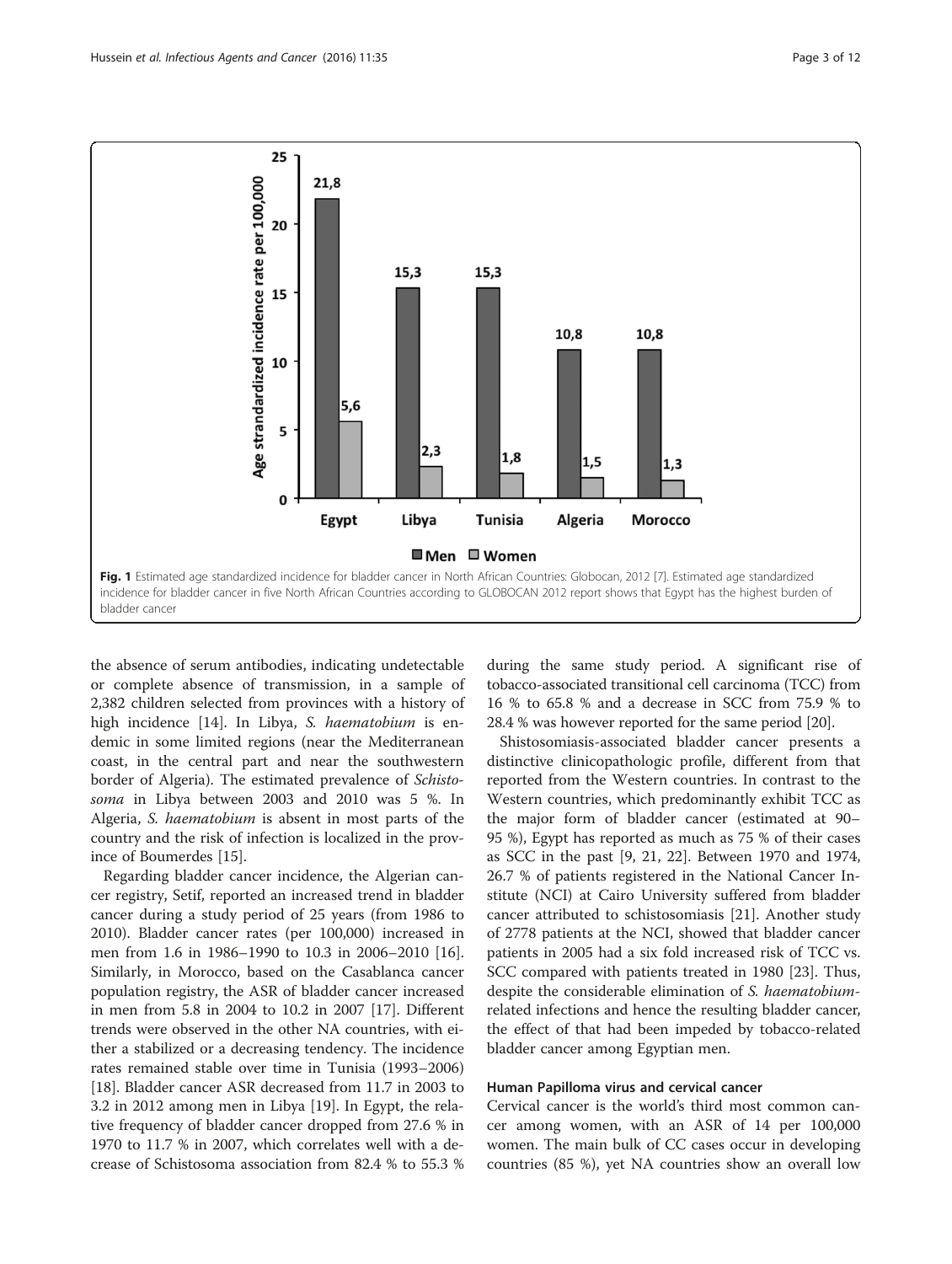<span id="page-2-0"></span>

the absence of serum antibodies, indicating undetectable or complete absence of transmission, in a sample of 2,382 children selected from provinces with a history of high incidence [\[14\]](#page-9-0). In Libya, S. haematobium is endemic in some limited regions (near the Mediterranean coast, in the central part and near the southwestern border of Algeria). The estimated prevalence of Schistosoma in Libya between 2003 and 2010 was 5 %. In Algeria, S. haematobium is absent in most parts of the country and the risk of infection is localized in the province of Boumerdes [\[15](#page-9-0)].

Regarding bladder cancer incidence, the Algerian cancer registry, Setif, reported an increased trend in bladder cancer during a study period of 25 years (from 1986 to 2010). Bladder cancer rates (per 100,000) increased in men from 1.6 in 1986–1990 to 10.3 in 2006–2010 [\[16](#page-9-0)]. Similarly, in Morocco, based on the Casablanca cancer population registry, the ASR of bladder cancer increased in men from 5.8 in 2004 to 10.2 in 2007 [\[17\]](#page-9-0). Different trends were observed in the other NA countries, with either a stabilized or a decreasing tendency. The incidence rates remained stable over time in Tunisia (1993–2006) [[18\]](#page-9-0). Bladder cancer ASR decreased from 11.7 in 2003 to 3.2 in 2012 among men in Libya [\[19](#page-9-0)]. In Egypt, the relative frequency of bladder cancer dropped from 27.6 % in 1970 to 11.7 % in 2007, which correlates well with a decrease of Schistosoma association from 82.4 % to 55.3 % during the same study period. A significant rise of tobacco-associated transitional cell carcinoma (TCC) from 16 % to 65.8 % and a decrease in SCC from 75.9 % to 28.4 % was however reported for the same period [[20](#page-9-0)].

Shistosomiasis-associated bladder cancer presents a distinctive clinicopathologic profile, different from that reported from the Western countries. In contrast to the Western countries, which predominantly exhibit TCC as the major form of bladder cancer (estimated at 90– 95 %), Egypt has reported as much as 75 % of their cases as SCC in the past [[9, 21, 22](#page-9-0)]. Between 1970 and 1974, 26.7 % of patients registered in the National Cancer Institute (NCI) at Cairo University suffered from bladder cancer attributed to schistosomiasis [\[21\]](#page-9-0). Another study of 2778 patients at the NCI, showed that bladder cancer patients in 2005 had a six fold increased risk of TCC vs. SCC compared with patients treated in 1980 [[23\]](#page-9-0). Thus, despite the considerable elimination of S. haematobiumrelated infections and hence the resulting bladder cancer, the effect of that had been impeded by tobacco-related bladder cancer among Egyptian men.

# Human Papilloma virus and cervical cancer

Cervical cancer is the world's third most common cancer among women, with an ASR of 14 per 100,000 women. The main bulk of CC cases occur in developing countries (85 %), yet NA countries show an overall low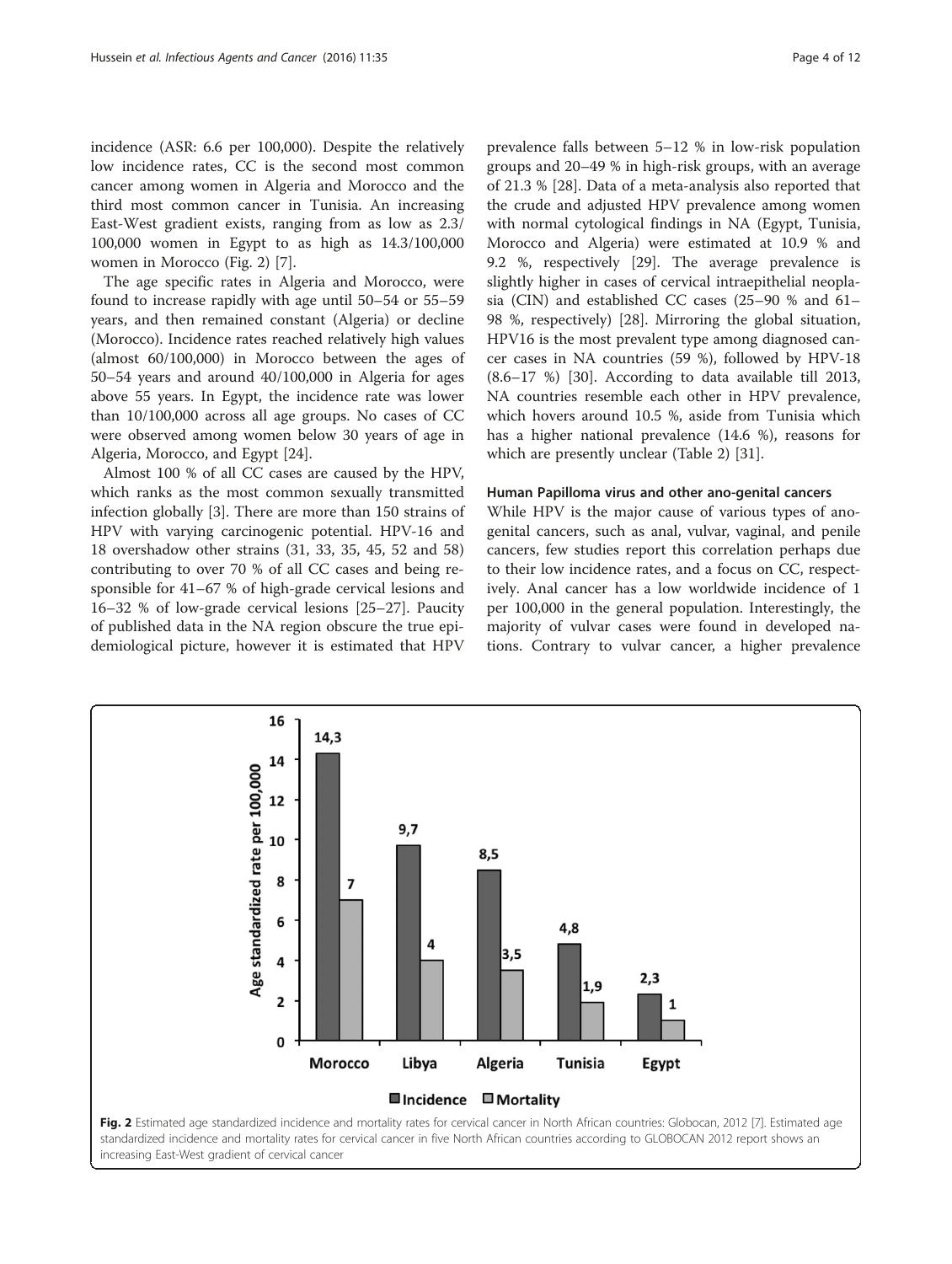incidence (ASR: 6.6 per 100,000). Despite the relatively low incidence rates, CC is the second most common cancer among women in Algeria and Morocco and the third most common cancer in Tunisia. An increasing East-West gradient exists, ranging from as low as 2.3/ 100,000 women in Egypt to as high as 14.3/100,000 women in Morocco (Fig. 2) [\[7](#page-9-0)].

The age specific rates in Algeria and Morocco, were found to increase rapidly with age until 50–54 or 55–59 years, and then remained constant (Algeria) or decline (Morocco). Incidence rates reached relatively high values (almost 60/100,000) in Morocco between the ages of 50–54 years and around 40/100,000 in Algeria for ages above 55 years. In Egypt, the incidence rate was lower than 10/100,000 across all age groups. No cases of CC were observed among women below 30 years of age in Algeria, Morocco, and Egypt [\[24](#page-9-0)].

Almost 100 % of all CC cases are caused by the HPV, which ranks as the most common sexually transmitted infection globally [\[3](#page-9-0)]. There are more than 150 strains of HPV with varying carcinogenic potential. HPV-16 and 18 overshadow other strains (31, 33, 35, 45, 52 and 58) contributing to over 70 % of all CC cases and being responsible for 41–67 % of high-grade cervical lesions and 16–32 % of low-grade cervical lesions [[25](#page-9-0)–[27](#page-9-0)]. Paucity of published data in the NA region obscure the true epidemiological picture, however it is estimated that HPV

prevalence falls between 5–12 % in low-risk population groups and 20–49 % in high-risk groups, with an average of 21.3 % [[28\]](#page-9-0). Data of a meta-analysis also reported that the crude and adjusted HPV prevalence among women with normal cytological findings in NA (Egypt, Tunisia, Morocco and Algeria) were estimated at 10.9 % and 9.2 %, respectively [\[29\]](#page-9-0). The average prevalence is slightly higher in cases of cervical intraepithelial neoplasia (CIN) and established CC cases (25–90 % and 61– 98 %, respectively) [[28](#page-9-0)]. Mirroring the global situation, HPV16 is the most prevalent type among diagnosed cancer cases in NA countries (59 %), followed by HPV-18 (8.6–17 %) [[30\]](#page-9-0). According to data available till 2013, NA countries resemble each other in HPV prevalence, which hovers around 10.5 %, aside from Tunisia which has a higher national prevalence (14.6 %), reasons for which are presently unclear (Table [2\)](#page-4-0) [\[31\]](#page-9-0).

# Human Papilloma virus and other ano-genital cancers

While HPV is the major cause of various types of anogenital cancers, such as anal, vulvar, vaginal, and penile cancers, few studies report this correlation perhaps due to their low incidence rates, and a focus on CC, respectively. Anal cancer has a low worldwide incidence of 1 per 100,000 in the general population. Interestingly, the majority of vulvar cases were found in developed nations. Contrary to vulvar cancer, a higher prevalence

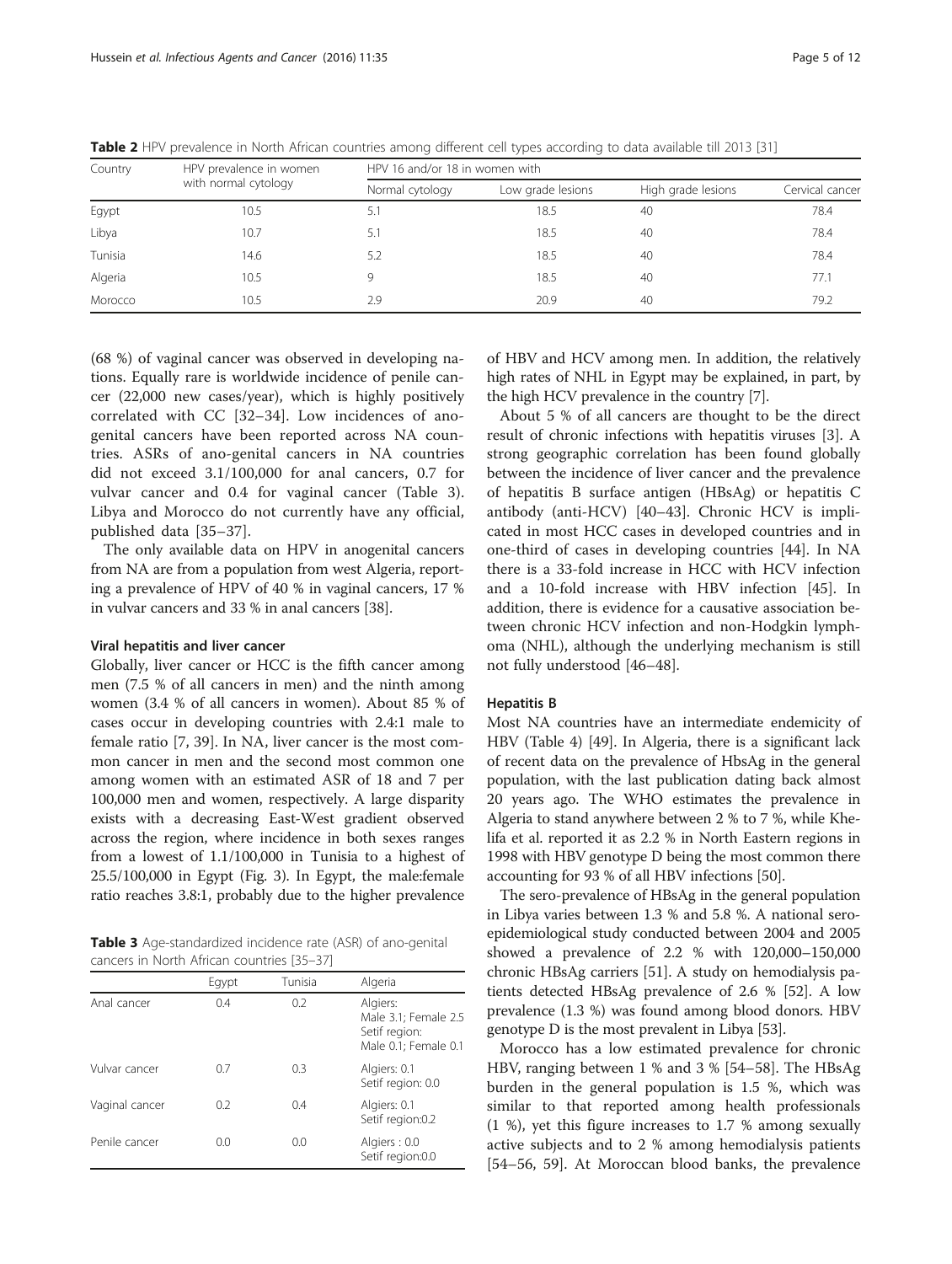| Country | HPV prevalence in women<br>with normal cytology | HPV 16 and/or 18 in women with |                   |                    |                 |  |
|---------|-------------------------------------------------|--------------------------------|-------------------|--------------------|-----------------|--|
|         |                                                 | Normal cytology                | Low grade lesions | High grade lesions | Cervical cancer |  |
| Egypt   | 10.5                                            | 5.1                            | 18.5              | 40                 | 78.4            |  |
| Libya   | 10.7                                            | 5.1                            | 18.5              | 40                 | 78.4            |  |
| Tunisia | 14.6                                            | 5.2                            | 18.5              | 40                 | 78.4            |  |
| Algeria | 10.5                                            | 9                              | 18.5              | 40                 | 77.1            |  |
| Morocco | 10.5                                            | 2.9                            | 20.9              | 40                 | 79.2            |  |

<span id="page-4-0"></span>Table 2 HPV prevalence in North African countries among different cell types according to data available till 2013 [[31](#page-9-0)]

(68 %) of vaginal cancer was observed in developing nations. Equally rare is worldwide incidence of penile cancer (22,000 new cases/year), which is highly positively correlated with CC [[32](#page-9-0)–[34\]](#page-9-0). Low incidences of anogenital cancers have been reported across NA countries. ASRs of ano-genital cancers in NA countries did not exceed 3.1/100,000 for anal cancers, 0.7 for vulvar cancer and 0.4 for vaginal cancer (Table 3). Libya and Morocco do not currently have any official, published data [[35](#page-10-0)–[37\]](#page-10-0).

The only available data on HPV in anogenital cancers from NA are from a population from west Algeria, reporting a prevalence of HPV of 40 % in vaginal cancers, 17 % in vulvar cancers and 33 % in anal cancers [[38](#page-10-0)].

# Viral hepatitis and liver cancer

Globally, liver cancer or HCC is the fifth cancer among men (7.5 % of all cancers in men) and the ninth among women (3.4 % of all cancers in women). About 85 % of cases occur in developing countries with 2.4:1 male to female ratio [\[7](#page-9-0), [39](#page-10-0)]. In NA, liver cancer is the most common cancer in men and the second most common one among women with an estimated ASR of 18 and 7 per 100,000 men and women, respectively. A large disparity exists with a decreasing East-West gradient observed across the region, where incidence in both sexes ranges from a lowest of 1.1/100,000 in Tunisia to a highest of 25.5/100,000 in Egypt (Fig. [3](#page-5-0)). In Egypt, the male:female ratio reaches 3.8:1, probably due to the higher prevalence

Table 3 Age-standardized incidence rate (ASR) of ano-genital cancers in North African countries [\[35](#page-10-0)–[37](#page-10-0)]

|                | Egypt | Tunisia | Algeria                                                                   |
|----------------|-------|---------|---------------------------------------------------------------------------|
| Anal cancer    | 0.4   | 0.2     | Algiers:<br>Male 3.1; Female 2.5<br>Setif region:<br>Male 0.1; Female 0.1 |
| Vulvar cancer  | 0.7   | 0.3     | Algiers: 0.1<br>Setif region: 0.0                                         |
| Vaginal cancer | 0.2   | 0.4     | Algiers: 0.1<br>Setif region:0.2                                          |
| Penile cancer  | 0.0   | 0.0     | Algiers: 0.0<br>Setif region:0.0                                          |

of HBV and HCV among men. In addition, the relatively high rates of NHL in Egypt may be explained, in part, by the high HCV prevalence in the country [\[7](#page-9-0)].

About 5 % of all cancers are thought to be the direct result of chronic infections with hepatitis viruses [\[3](#page-9-0)]. A strong geographic correlation has been found globally between the incidence of liver cancer and the prevalence of hepatitis B surface antigen (HBsAg) or hepatitis C antibody (anti-HCV) [[40](#page-10-0)–[43\]](#page-10-0). Chronic HCV is implicated in most HCC cases in developed countries and in one-third of cases in developing countries [[44](#page-10-0)]. In NA there is a 33-fold increase in HCC with HCV infection and a 10-fold increase with HBV infection [\[45](#page-10-0)]. In addition, there is evidence for a causative association between chronic HCV infection and non-Hodgkin lymphoma (NHL), although the underlying mechanism is still not fully understood [[46](#page-10-0)–[48](#page-10-0)].

# Hepatitis B

Most NA countries have an intermediate endemicity of HBV (Table [4](#page-5-0)) [\[49\]](#page-10-0). In Algeria, there is a significant lack of recent data on the prevalence of HbsAg in the general population, with the last publication dating back almost 20 years ago. The WHO estimates the prevalence in Algeria to stand anywhere between 2 % to 7 %, while Khelifa et al. reported it as 2.2 % in North Eastern regions in 1998 with HBV genotype D being the most common there accounting for 93 % of all HBV infections [[50](#page-10-0)].

The sero-prevalence of HBsAg in the general population in Libya varies between 1.3 % and 5.8 %. A national seroepidemiological study conducted between 2004 and 2005 showed a prevalence of 2.2 % with 120,000–150,000 chronic HBsAg carriers [[51](#page-10-0)]. A study on hemodialysis patients detected HBsAg prevalence of 2.6 % [\[52\]](#page-10-0). A low prevalence (1.3 %) was found among blood donors. HBV genotype D is the most prevalent in Libya [\[53\]](#page-10-0).

Morocco has a low estimated prevalence for chronic HBV, ranging between 1 % and 3 % [[54](#page-10-0)–[58](#page-10-0)]. The HBsAg burden in the general population is 1.5 %, which was similar to that reported among health professionals (1 %), yet this figure increases to 1.7 % among sexually active subjects and to 2 % among hemodialysis patients [[54](#page-10-0)–[56](#page-10-0), [59\]](#page-10-0). At Moroccan blood banks, the prevalence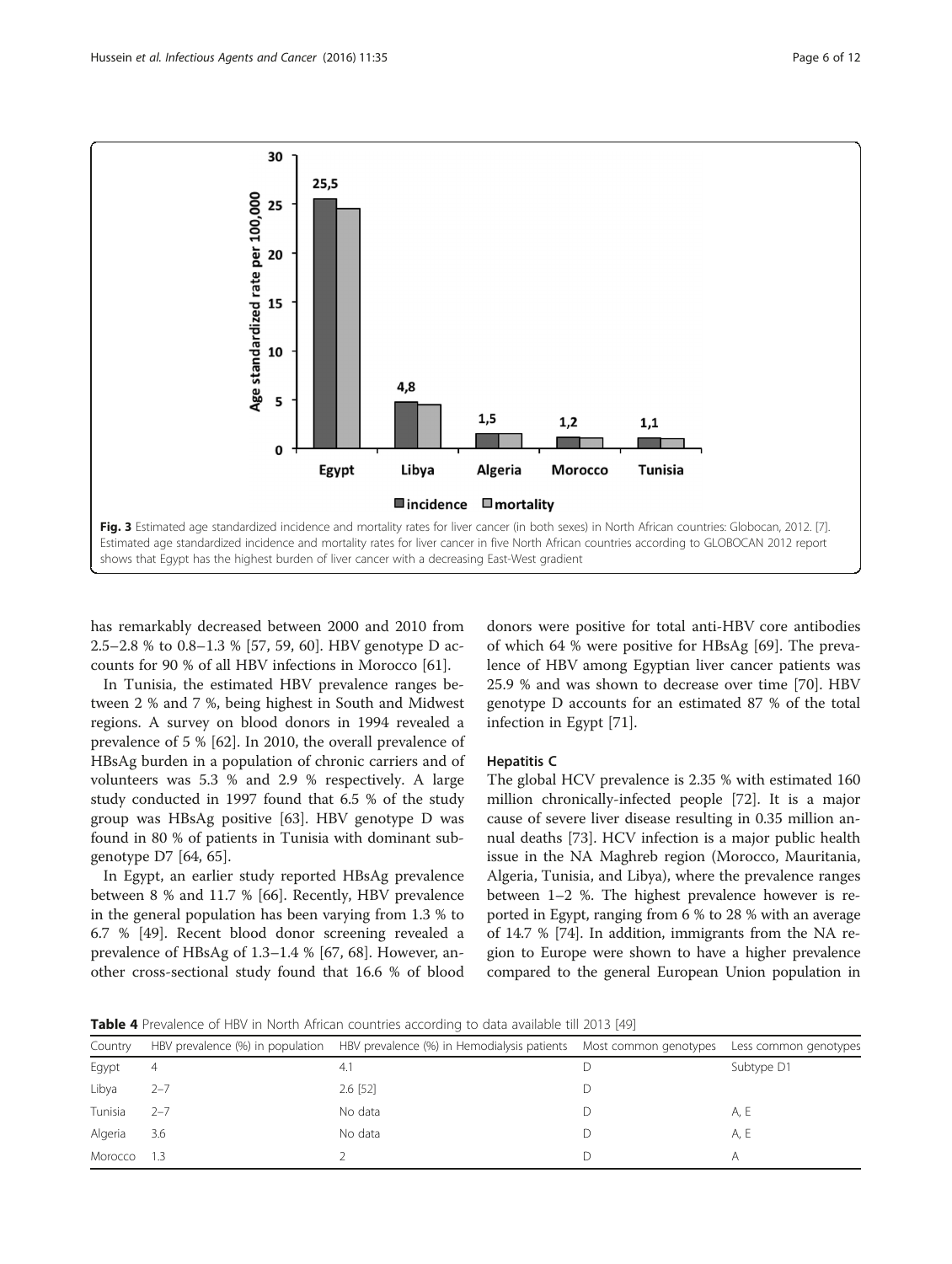<span id="page-5-0"></span>

has remarkably decreased between 2000 and 2010 from 2.5–2.8 % to 0.8–1.3 % [\[57, 59, 60](#page-10-0)]. HBV genotype D accounts for 90 % of all HBV infections in Morocco [\[61\]](#page-10-0).

In Tunisia, the estimated HBV prevalence ranges between 2 % and 7 %, being highest in South and Midwest regions. A survey on blood donors in 1994 revealed a prevalence of 5 % [\[62](#page-10-0)]. In 2010, the overall prevalence of HBsAg burden in a population of chronic carriers and of volunteers was 5.3 % and 2.9 % respectively. A large study conducted in 1997 found that 6.5 % of the study group was HBsAg positive [[63\]](#page-10-0). HBV genotype D was found in 80 % of patients in Tunisia with dominant subgenotype D7 [[64](#page-10-0), [65](#page-10-0)].

In Egypt, an earlier study reported HBsAg prevalence between 8 % and 11.7 % [[66](#page-10-0)]. Recently, HBV prevalence in the general population has been varying from 1.3 % to 6.7 % [[49\]](#page-10-0). Recent blood donor screening revealed a prevalence of HBsAg of 1.3–1.4 % [[67, 68\]](#page-10-0). However, another cross-sectional study found that 16.6 % of blood

donors were positive for total anti-HBV core antibodies of which 64 % were positive for HBsAg [[69\]](#page-10-0). The prevalence of HBV among Egyptian liver cancer patients was 25.9 % and was shown to decrease over time [[70](#page-10-0)]. HBV genotype D accounts for an estimated 87 % of the total infection in Egypt [[71\]](#page-10-0).

## Hepatitis C

The global HCV prevalence is 2.35 % with estimated 160 million chronically-infected people [[72\]](#page-10-0). It is a major cause of severe liver disease resulting in 0.35 million annual deaths [\[73](#page-10-0)]. HCV infection is a major public health issue in the NA Maghreb region (Morocco, Mauritania, Algeria, Tunisia, and Libya), where the prevalence ranges between 1–2 %. The highest prevalence however is reported in Egypt, ranging from 6 % to 28 % with an average of 14.7 % [\[74\]](#page-10-0). In addition, immigrants from the NA region to Europe were shown to have a higher prevalence compared to the general European Union population in

**Table 4** Prevalence of HBV in North African countries according to data available till 2013 [\[49\]](#page-10-0)

| Country |         | HBV prevalence (%) in population HBV prevalence (%) in Hemodialysis patients Most common genotypes |  | Less common genotypes |  |  |
|---------|---------|----------------------------------------------------------------------------------------------------|--|-----------------------|--|--|
| Egypt   | 4       | -4.1                                                                                               |  | Subtype D1            |  |  |
| Libya   | $2 - 7$ | $2.6$ [52]                                                                                         |  |                       |  |  |
| Tunisia | $2 - 7$ | No data                                                                                            |  | A, E                  |  |  |
| Algeria | 3.6     | No data                                                                                            |  | A, E                  |  |  |
| Morocco | -1.3    |                                                                                                    |  |                       |  |  |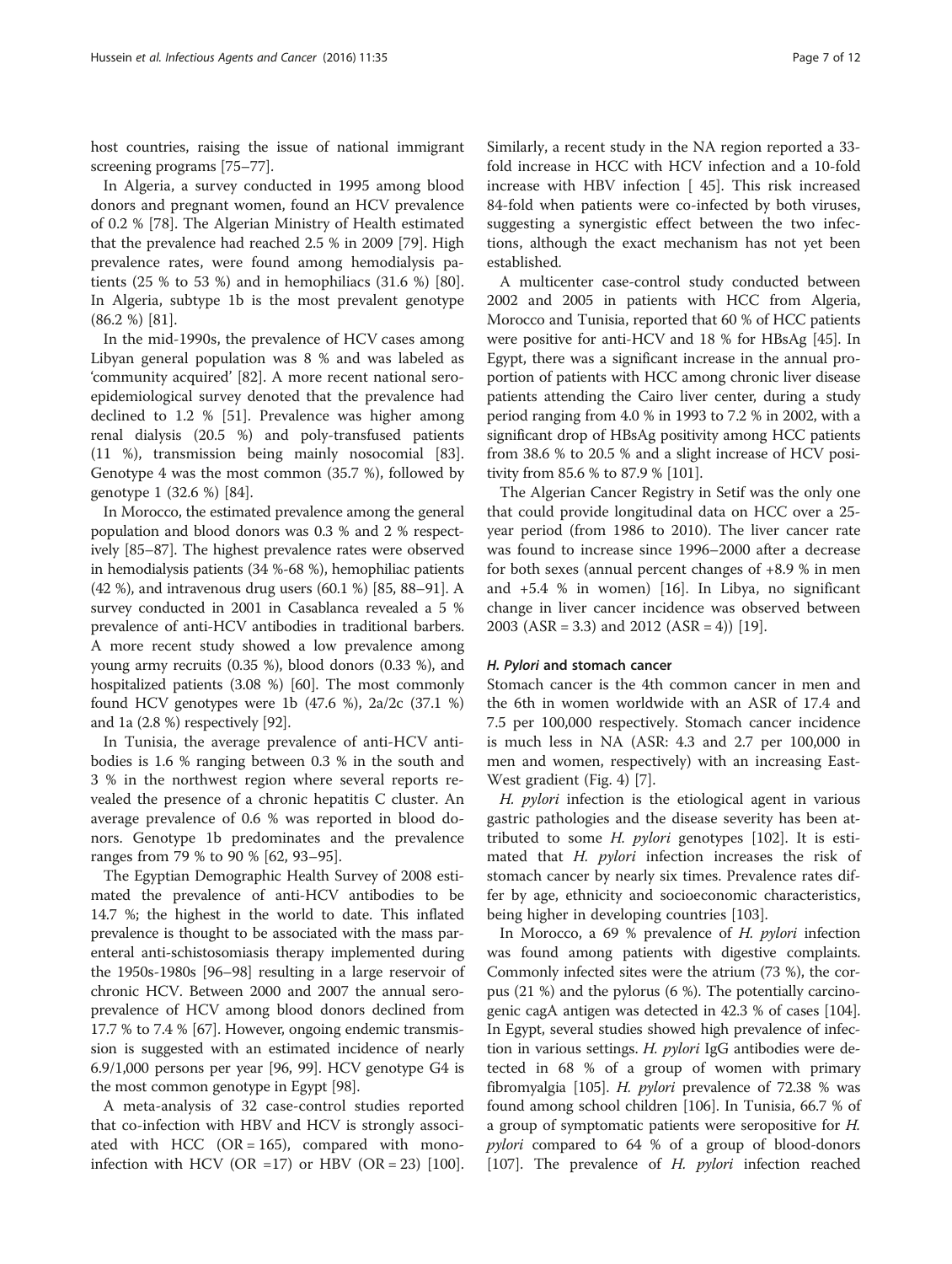host countries, raising the issue of national immigrant screening programs [\[75](#page-10-0)–[77](#page-10-0)].

In Algeria, a survey conducted in 1995 among blood donors and pregnant women, found an HCV prevalence of 0.2 % [\[78](#page-10-0)]. The Algerian Ministry of Health estimated that the prevalence had reached 2.5 % in 2009 [\[79](#page-10-0)]. High prevalence rates, were found among hemodialysis patients (25 % to 53 %) and in hemophiliacs (31.6 %) [\[80](#page-10-0)]. In Algeria, subtype 1b is the most prevalent genotype (86.2 %) [[81\]](#page-10-0).

In the mid-1990s, the prevalence of HCV cases among Libyan general population was 8 % and was labeled as 'community acquired' [[82](#page-10-0)]. A more recent national seroepidemiological survey denoted that the prevalence had declined to 1.2 % [[51\]](#page-10-0). Prevalence was higher among renal dialysis (20.5 %) and poly-transfused patients (11 %), transmission being mainly nosocomial [\[83](#page-10-0)]. Genotype 4 was the most common (35.7 %), followed by genotype 1 (32.6 %) [\[84](#page-10-0)].

In Morocco, the estimated prevalence among the general population and blood donors was 0.3 % and 2 % respectively [[85](#page-10-0)–[87\]](#page-11-0). The highest prevalence rates were observed in hemodialysis patients (34 %-68 %), hemophiliac patients (42 %), and intravenous drug users (60.1 %) [\[85,](#page-10-0) [88](#page-11-0)–[91\]](#page-11-0). A survey conducted in 2001 in Casablanca revealed a 5 % prevalence of anti-HCV antibodies in traditional barbers. A more recent study showed a low prevalence among young army recruits (0.35 %), blood donors (0.33 %), and hospitalized patients (3.08 %) [[60](#page-10-0)]. The most commonly found HCV genotypes were 1b (47.6 %), 2a/2c (37.1 %) and 1a (2.8 %) respectively [\[92\]](#page-11-0).

In Tunisia, the average prevalence of anti-HCV antibodies is 1.6 % ranging between 0.3 % in the south and 3 % in the northwest region where several reports revealed the presence of a chronic hepatitis C cluster. An average prevalence of 0.6 % was reported in blood donors. Genotype 1b predominates and the prevalence ranges from 79 % to 90 % [\[62](#page-10-0), [93](#page-11-0)–[95\]](#page-11-0).

The Egyptian Demographic Health Survey of 2008 estimated the prevalence of anti-HCV antibodies to be 14.7 %; the highest in the world to date. This inflated prevalence is thought to be associated with the mass parenteral anti-schistosomiasis therapy implemented during the 1950s-1980s [[96](#page-11-0)–[98\]](#page-11-0) resulting in a large reservoir of chronic HCV. Between 2000 and 2007 the annual seroprevalence of HCV among blood donors declined from 17.7 % to 7.4 % [\[67\]](#page-10-0). However, ongoing endemic transmission is suggested with an estimated incidence of nearly 6.9/1,000 persons per year [\[96, 99](#page-11-0)]. HCV genotype G4 is the most common genotype in Egypt [\[98](#page-11-0)].

A meta-analysis of 32 case-control studies reported that co-infection with HBV and HCV is strongly associated with HCC  $(OR = 165)$ , compared with mono-infection with HCV (OR =17) or HBV (OR = 23) [\[100](#page-11-0)].

Similarly, a recent study in the NA region reported a 33 fold increase in HCC with HCV infection and a 10-fold increase with HBV infection [ [45\]](#page-10-0). This risk increased 84-fold when patients were co-infected by both viruses, suggesting a synergistic effect between the two infections, although the exact mechanism has not yet been established.

A multicenter case-control study conducted between 2002 and 2005 in patients with HCC from Algeria, Morocco and Tunisia, reported that 60 % of HCC patients were positive for anti-HCV and 18 % for HBsAg [[45](#page-10-0)]. In Egypt, there was a significant increase in the annual proportion of patients with HCC among chronic liver disease patients attending the Cairo liver center, during a study period ranging from 4.0 % in 1993 to 7.2 % in 2002, with a significant drop of HBsAg positivity among HCC patients from 38.6 % to 20.5 % and a slight increase of HCV positivity from 85.6 % to 87.9 % [\[101\]](#page-11-0).

The Algerian Cancer Registry in Setif was the only one that could provide longitudinal data on HCC over a 25 year period (from 1986 to 2010). The liver cancer rate was found to increase since 1996–2000 after a decrease for both sexes (annual percent changes of +8.9 % in men and +5.4 % in women) [\[16\]](#page-9-0). In Libya, no significant change in liver cancer incidence was observed between 2003 (ASR = 3.3) and 2012 (ASR = 4)) [\[19\]](#page-9-0).

# H. Pylori and stomach cancer

Stomach cancer is the 4th common cancer in men and the 6th in women worldwide with an ASR of 17.4 and 7.5 per 100,000 respectively. Stomach cancer incidence is much less in NA (ASR: 4.3 and 2.7 per 100,000 in men and women, respectively) with an increasing East-West gradient (Fig. [4\)](#page-7-0) [\[7](#page-9-0)].

H. pylori infection is the etiological agent in various gastric pathologies and the disease severity has been attributed to some  $H.$  *pylori* genotypes [\[102](#page-11-0)]. It is estimated that H. pylori infection increases the risk of stomach cancer by nearly six times. Prevalence rates differ by age, ethnicity and socioeconomic characteristics, being higher in developing countries [[103](#page-11-0)].

In Morocco, a 69 % prevalence of H. pylori infection was found among patients with digestive complaints. Commonly infected sites were the atrium (73 %), the corpus (21 %) and the pylorus (6 %). The potentially carcinogenic cagA antigen was detected in 42.3 % of cases [[104](#page-11-0)]. In Egypt, several studies showed high prevalence of infection in various settings. H. pylori IgG antibodies were detected in 68 % of a group of women with primary fibromyalgia [[105](#page-11-0)]. H. pylori prevalence of 72.38 % was found among school children [\[106](#page-11-0)]. In Tunisia, 66.7 % of a group of symptomatic patients were seropositive for H. pylori compared to 64 % of a group of blood-donors [[107](#page-11-0)]. The prevalence of  $H.$   $pylori$  infection reached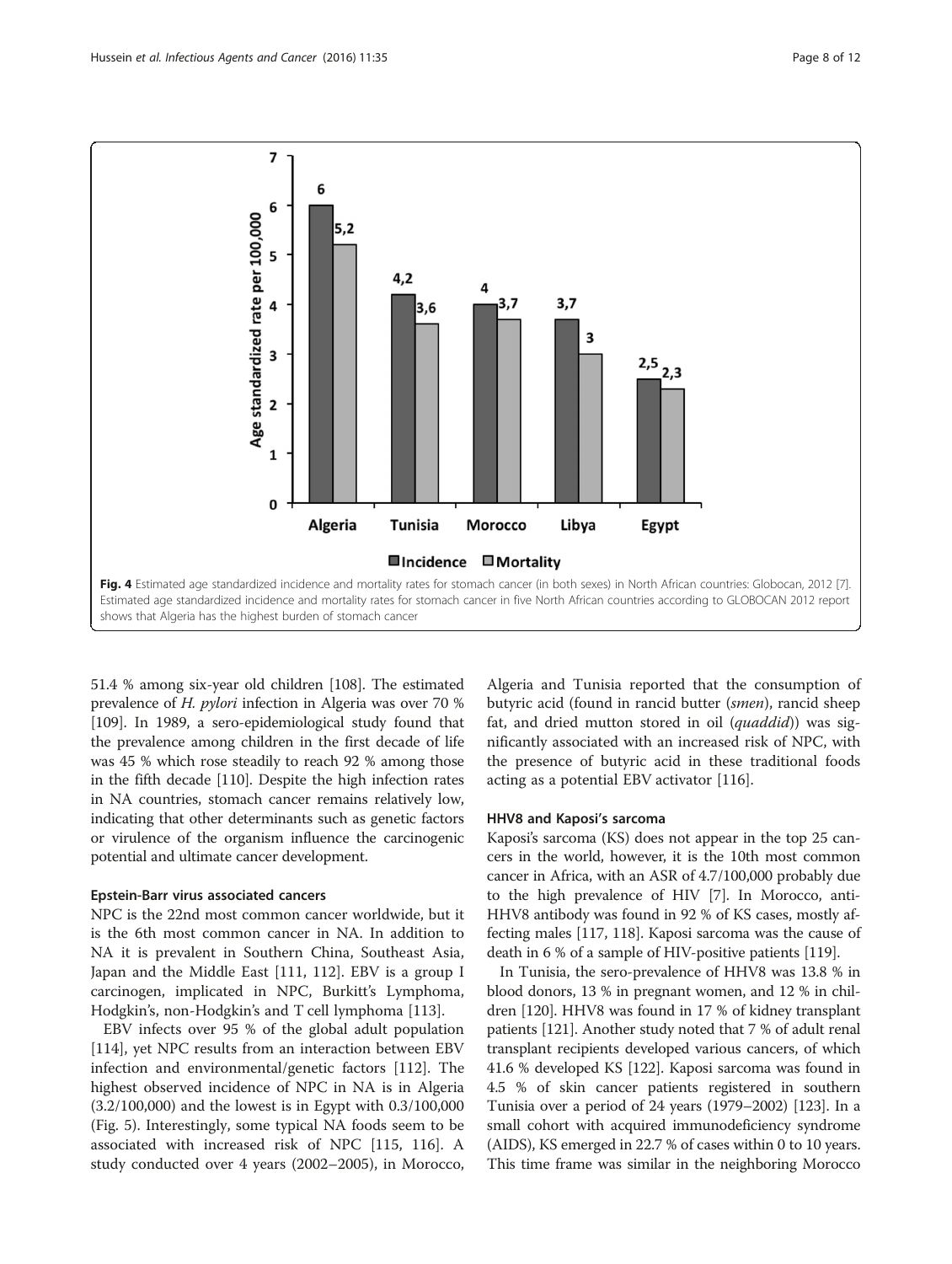<span id="page-7-0"></span>

51.4 % among six-year old children [\[108\]](#page-11-0). The estimated prevalence of H. pylori infection in Algeria was over 70 % [[109](#page-11-0)]. In 1989, a sero-epidemiological study found that the prevalence among children in the first decade of life was 45 % which rose steadily to reach 92 % among those in the fifth decade [[110](#page-11-0)]. Despite the high infection rates in NA countries, stomach cancer remains relatively low, indicating that other determinants such as genetic factors or virulence of the organism influence the carcinogenic potential and ultimate cancer development.

### Epstein-Barr virus associated cancers

NPC is the 22nd most common cancer worldwide, but it is the 6th most common cancer in NA. In addition to NA it is prevalent in Southern China, Southeast Asia, Japan and the Middle East [\[111, 112](#page-11-0)]. EBV is a group I carcinogen, implicated in NPC, Burkitt's Lymphoma, Hodgkin's, non-Hodgkin's and T cell lymphoma [[113](#page-11-0)].

EBV infects over 95 % of the global adult population [[114\]](#page-11-0), yet NPC results from an interaction between EBV infection and environmental/genetic factors [[112](#page-11-0)]. The highest observed incidence of NPC in NA is in Algeria (3.2/100,000) and the lowest is in Egypt with 0.3/100,000 (Fig. [5\)](#page-8-0). Interestingly, some typical NA foods seem to be associated with increased risk of NPC [\[115, 116](#page-11-0)]. A study conducted over 4 years (2002–2005), in Morocco,

Algeria and Tunisia reported that the consumption of butyric acid (found in rancid butter (smen), rancid sheep fat, and dried mutton stored in oil (quaddid)) was significantly associated with an increased risk of NPC, with the presence of butyric acid in these traditional foods acting as a potential EBV activator [[116](#page-11-0)].

# HHV8 and Kaposi's sarcoma

Kaposi's sarcoma (KS) does not appear in the top 25 cancers in the world, however, it is the 10th most common cancer in Africa, with an ASR of 4.7/100,000 probably due to the high prevalence of HIV [[7](#page-9-0)]. In Morocco, anti-HHV8 antibody was found in 92 % of KS cases, mostly affecting males [[117](#page-11-0), [118\]](#page-11-0). Kaposi sarcoma was the cause of death in 6 % of a sample of HIV-positive patients [\[119\]](#page-11-0).

In Tunisia, the sero-prevalence of HHV8 was 13.8 % in blood donors, 13 % in pregnant women, and 12 % in children [\[120\]](#page-11-0). HHV8 was found in 17 % of kidney transplant patients [\[121](#page-11-0)]. Another study noted that 7 % of adult renal transplant recipients developed various cancers, of which 41.6 % developed KS [[122](#page-11-0)]. Kaposi sarcoma was found in 4.5 % of skin cancer patients registered in southern Tunisia over a period of 24 years (1979–2002) [[123\]](#page-11-0). In a small cohort with acquired immunodeficiency syndrome (AIDS), KS emerged in 22.7 % of cases within 0 to 10 years. This time frame was similar in the neighboring Morocco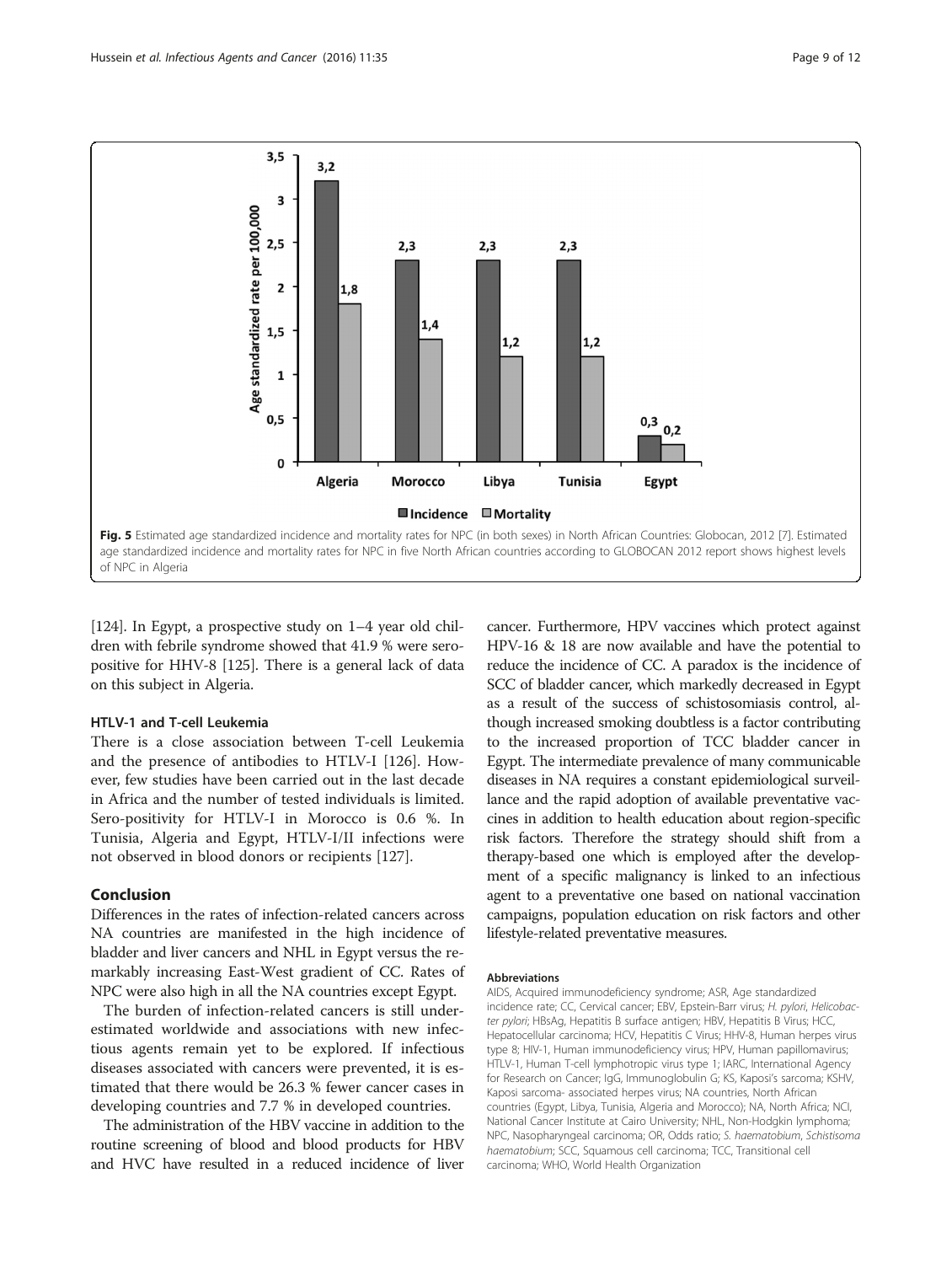<span id="page-8-0"></span>

[[124](#page-11-0)]. In Egypt, a prospective study on 1–4 year old children with febrile syndrome showed that 41.9 % were seropositive for HHV-8 [\[125\]](#page-11-0). There is a general lack of data on this subject in Algeria.

# HTLV-1 and T-cell Leukemia

There is a close association between T-cell Leukemia and the presence of antibodies to HTLV-I [\[126\]](#page-11-0). However, few studies have been carried out in the last decade in Africa and the number of tested individuals is limited. Sero-positivity for HTLV-I in Morocco is 0.6 %. In Tunisia, Algeria and Egypt, HTLV-I/II infections were not observed in blood donors or recipients [[127](#page-11-0)].

# Conclusion

Differences in the rates of infection-related cancers across NA countries are manifested in the high incidence of bladder and liver cancers and NHL in Egypt versus the remarkably increasing East-West gradient of CC. Rates of NPC were also high in all the NA countries except Egypt.

The burden of infection-related cancers is still underestimated worldwide and associations with new infectious agents remain yet to be explored. If infectious diseases associated with cancers were prevented, it is estimated that there would be 26.3 % fewer cancer cases in developing countries and 7.7 % in developed countries.

The administration of the HBV vaccine in addition to the routine screening of blood and blood products for HBV and HVC have resulted in a reduced incidence of liver

cancer. Furthermore, HPV vaccines which protect against HPV-16 & 18 are now available and have the potential to reduce the incidence of CC. A paradox is the incidence of SCC of bladder cancer, which markedly decreased in Egypt as a result of the success of schistosomiasis control, although increased smoking doubtless is a factor contributing to the increased proportion of TCC bladder cancer in Egypt. The intermediate prevalence of many communicable diseases in NA requires a constant epidemiological surveillance and the rapid adoption of available preventative vaccines in addition to health education about region-specific risk factors. Therefore the strategy should shift from a therapy-based one which is employed after the development of a specific malignancy is linked to an infectious agent to a preventative one based on national vaccination campaigns, population education on risk factors and other lifestyle-related preventative measures.

#### Abbreviations

AIDS, Acquired immunodeficiency syndrome; ASR, Age standardized incidence rate; CC, Cervical cancer; EBV, Epstein-Barr virus; H. pylori, Helicobacter pylori; HBsAg, Hepatitis B surface antigen; HBV, Hepatitis B Virus; HCC, Hepatocellular carcinoma; HCV, Hepatitis C Virus; HHV-8, Human herpes virus type 8; HIV-1, Human immunodeficiency virus; HPV, Human papillomavirus; HTLV-1, Human T-cell lymphotropic virus type 1; IARC, International Agency for Research on Cancer; IgG, Immunoglobulin G; KS, Kaposi's sarcoma; KSHV, Kaposi sarcoma- associated herpes virus; NA countries, North African countries (Egypt, Libya, Tunisia, Algeria and Morocco); NA, North Africa; NCI, National Cancer Institute at Cairo University; NHL, Non-Hodgkin lymphoma; NPC, Nasopharyngeal carcinoma; OR, Odds ratio; S. haematobium, Schistisoma haematobium; SCC, Squamous cell carcinoma; TCC, Transitional cell carcinoma; WHO, World Health Organization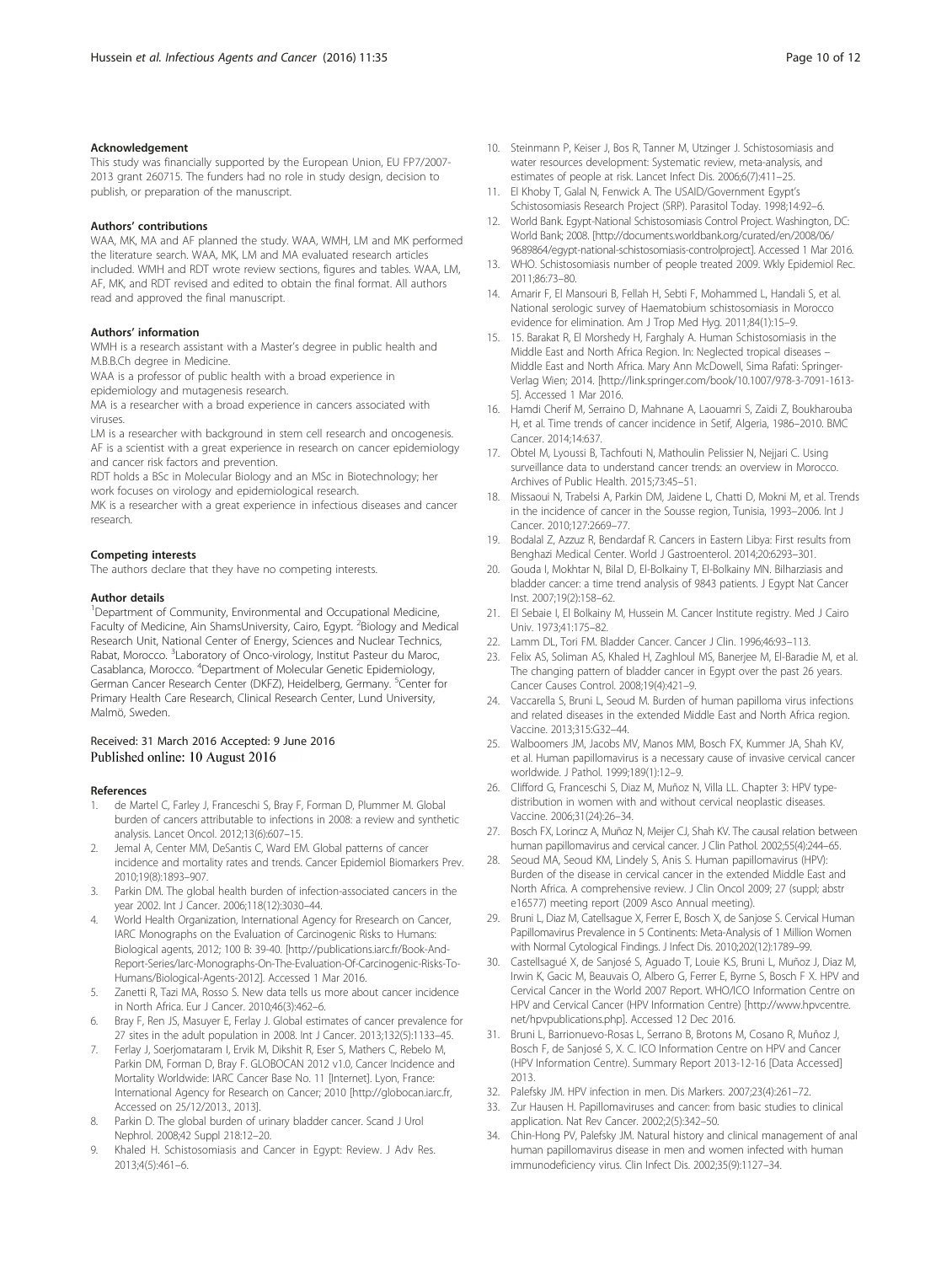# <span id="page-9-0"></span>Acknowledgement

This study was financially supported by the European Union, EU FP7/2007- 2013 grant 260715. The funders had no role in study design, decision to publish, or preparation of the manuscript.

#### Authors' contributions

WAA, MK, MA and AF planned the study. WAA, WMH, LM and MK performed the literature search. WAA, MK, LM and MA evaluated research articles included. WMH and RDT wrote review sections, figures and tables. WAA, LM, AF, MK, and RDT revised and edited to obtain the final format. All authors read and approved the final manuscript.

#### Authors' information

WMH is a research assistant with a Master's degree in public health and M.B.B.Ch degree in Medicine.

WAA is a professor of public health with a broad experience in

epidemiology and mutagenesis research.

MA is a researcher with a broad experience in cancers associated with viruses.

LM is a researcher with background in stem cell research and oncogenesis. AF is a scientist with a great experience in research on cancer epidemiology and cancer risk factors and prevention.

RDT holds a BSc in Molecular Biology and an MSc in Biotechnology; her work focuses on virology and epidemiological research.

MK is a researcher with a great experience in infectious diseases and cancer research.

#### Competing interests

The authors declare that they have no competing interests.

#### Author details

<sup>1</sup>Department of Community, Environmental and Occupational Medicine, Faculty of Medicine, Ain ShamsUniversity, Cairo, Egypt. <sup>2</sup>Biology and Medical Research Unit, National Center of Energy, Sciences and Nuclear Technics, Rabat, Morocco. <sup>3</sup> Laboratory of Onco-virology, Institut Pasteur du Maroc, Casablanca, Morocco. <sup>4</sup>Department of Molecular Genetic Epidemiology, German Cancer Research Center (DKFZ), Heidelberg, Germany. <sup>5</sup>Center for Primary Health Care Research, Clinical Research Center, Lund University, Malmö, Sweden.

# Received: 31 March 2016 Accepted: 9 June 2016 Published online: 10 August 2016

#### References

- 1. de Martel C, Farley J, Franceschi S, Bray F, Forman D, Plummer M. Global burden of cancers attributable to infections in 2008: a review and synthetic analysis. Lancet Oncol. 2012;13(6):607–15.
- 2. Jemal A, Center MM, DeSantis C, Ward EM. Global patterns of cancer incidence and mortality rates and trends. Cancer Epidemiol Biomarkers Prev. 2010;19(8):1893–907.
- 3. Parkin DM. The global health burden of infection-associated cancers in the year 2002. Int J Cancer. 2006;118(12):3030–44.
- 4. World Health Organization, International Agency for Rresearch on Cancer, IARC Monographs on the Evaluation of Carcinogenic Risks to Humans: Biological agents, 2012; 100 B: 39-40. [[http://publications.iarc.fr/Book-And-](http://publications.iarc.fr/Book-And-Report-Series/Iarc-Monographs-On-The-Evaluation-Of-Carcinogenic-Risks-To-Humans/Biological-Agents-2012)[Report-Series/Iarc-Monographs-On-The-Evaluation-Of-Carcinogenic-Risks-To-](http://publications.iarc.fr/Book-And-Report-Series/Iarc-Monographs-On-The-Evaluation-Of-Carcinogenic-Risks-To-Humans/Biological-Agents-2012)[Humans/Biological-Agents-2012\]](http://publications.iarc.fr/Book-And-Report-Series/Iarc-Monographs-On-The-Evaluation-Of-Carcinogenic-Risks-To-Humans/Biological-Agents-2012). Accessed 1 Mar 2016.
- 5. Zanetti R, Tazi MA, Rosso S. New data tells us more about cancer incidence in North Africa. Eur J Cancer. 2010;46(3):462–6.
- 6. Bray F, Ren JS, Masuyer E, Ferlay J. Global estimates of cancer prevalence for 27 sites in the adult population in 2008. Int J Cancer. 2013;132(5):1133–45.
- 7. Ferlay J, Soerjomataram I, Ervik M, Dikshit R, Eser S, Mathers C, Rebelo M, Parkin DM, Forman D, Bray F. GLOBOCAN 2012 v1.0, Cancer Incidence and Mortality Worldwide: IARC Cancer Base No. 11 [Internet]. Lyon, France: International Agency for Research on Cancer; 2010 [[http://globocan.iarc.fr,](http://globocan.iarc.fr/) Accessed on 25/12/2013., 2013].
- 8. Parkin D. The global burden of urinary bladder cancer. Scand J Urol Nephrol. 2008;42 Suppl 218:12–20.
- Khaled H. Schistosomiasis and Cancer in Egypt: Review. J Adv Res. 2013;4(5):461–6.
- 10. Steinmann P, Keiser J, Bos R, Tanner M, Utzinger J. Schistosomiasis and water resources development: Systematic review, meta-analysis, and estimates of people at risk. Lancet Infect Dis. 2006;6(7):411–25.
- 11. El Khoby T, Galal N, Fenwick A. The USAID/Government Egypt's Schistosomiasis Research Project (SRP). Parasitol Today. 1998;14:92–6.
- 12. World Bank. Egypt-National Schistosomiasis Control Project. Washington, DC: World Bank; 2008. [http://documents.worldbank.org/curated/en/2008/06/ 9689864/egypt-national-schistosomiasis-controlproject]. Accessed 1 Mar 2016.
- 13. WHO. Schistosomiasis number of people treated 2009. Wkly Epidemiol Rec. 2011;86:73–80.
- 14. Amarir F, El Mansouri B, Fellah H, Sebti F, Mohammed L, Handali S, et al. National serologic survey of Haematobium schistosomiasis in Morocco evidence for elimination. Am J Trop Med Hyg. 2011;84(1):15–9.
- 15. 15. Barakat R, El Morshedy H, Farghaly A. Human Schistosomiasis in the Middle East and North Africa Region. In: Neglected tropical diseases – Middle East and North Africa. Mary Ann McDowell, Sima Rafati: Springer-Verlag Wien; 2014. [\[http://link.springer.com/book/10.1007/978-3-7091-1613-](http://link.springer.com/book/10.1007/978-3-7091-1613-5) [5](http://link.springer.com/book/10.1007/978-3-7091-1613-5)]. Accessed 1 Mar 2016.
- 16. Hamdi Cherif M, Serraino D, Mahnane A, Laouamri S, Zaidi Z, Boukharouba H, et al. Time trends of cancer incidence in Setif, Algeria, 1986–2010. BMC Cancer. 2014;14:637.
- 17. Obtel M, Lyoussi B, Tachfouti N, Mathoulin Pelissier N, Nejjari C. Using surveillance data to understand cancer trends: an overview in Morocco. Archives of Public Health. 2015;73:45–51.
- 18. Missaoui N, Trabelsi A, Parkin DM, Jaidene L, Chatti D, Mokni M, et al. Trends in the incidence of cancer in the Sousse region, Tunisia, 1993–2006. Int J Cancer. 2010;127:2669–77.
- 19. Bodalal Z, Azzuz R, Bendardaf R. Cancers in Eastern Libya: First results from Benghazi Medical Center. World J Gastroenterol. 2014;20:6293–301.
- 20. Gouda I, Mokhtar N, Bilal D, El-Bolkainy T, El-Bolkainy MN. Bilharziasis and bladder cancer: a time trend analysis of 9843 patients. J Egypt Nat Cancer Inst. 2007;19(2):158–62.
- 21. El Sebaie I, El Bolkainy M, Hussein M. Cancer Institute registry. Med J Cairo Univ. 1973;41:175–82.
- 22. Lamm DL, Tori FM. Bladder Cancer. Cancer J Clin. 1996;46:93–113.
- 23. Felix AS, Soliman AS, Khaled H, Zaghloul MS, Banerjee M, El-Baradie M, et al. The changing pattern of bladder cancer in Egypt over the past 26 years. Cancer Causes Control. 2008;19(4):421–9.
- 24. Vaccarella S, Bruni L, Seoud M. Burden of human papilloma virus infections and related diseases in the extended Middle East and North Africa region. Vaccine. 2013;315:G32–44.
- 25. Walboomers JM, Jacobs MV, Manos MM, Bosch FX, Kummer JA, Shah KV, et al. Human papillomavirus is a necessary cause of invasive cervical cancer worldwide. J Pathol. 1999;189(1):12–9.
- 26. Clifford G, Franceschi S, Diaz M, Muñoz N, Villa LL. Chapter 3: HPV typedistribution in women with and without cervical neoplastic diseases. Vaccine. 2006;31(24):26–34.
- 27. Bosch FX, Lorincz A, Muñoz N, Meijer CJ, Shah KV. The causal relation between human papillomavirus and cervical cancer. J Clin Pathol. 2002;55(4):244–65.
- 28. Seoud MA, Seoud KM, Lindely S, Anis S. Human papillomavirus (HPV): Burden of the disease in cervical cancer in the extended Middle East and North Africa. A comprehensive review. J Clin Oncol 2009; 27 (suppl; abstr e16577) meeting report (2009 Asco Annual meeting).
- 29. Bruni L, Diaz M, Catellsague X, Ferrer E, Bosch X, de Sanjose S. Cervical Human Papillomavirus Prevalence in 5 Continents: Meta-Analysis of 1 Million Women with Normal Cytological Findings. J Infect Dis. 2010;202(12):1789–99.
- 30. Castellsagué X, de Sanjosé S, Aguado T, Louie K.S, Bruni L, Muñoz J, Diaz M, Irwin K, Gacic M, Beauvais O, Albero G, Ferrer E, Byrne S, Bosch F X. HPV and Cervical Cancer in the World 2007 Report. WHO/ICO Information Centre on HPV and Cervical Cancer (HPV Information Centre) [[http://www.hpvcentre.](http://www.hpvcentre.net/hpvpublications.php) [net/hpvpublications.php\]](http://www.hpvcentre.net/hpvpublications.php). Accessed 12 Dec 2016.
- 31. Bruni L, Barrionuevo-Rosas L, Serrano B, Brotons M, Cosano R, Muñoz J, Bosch F, de Sanjosé S, X. C. ICO Information Centre on HPV and Cancer (HPV Information Centre). Summary Report 2013-12-16 [Data Accessed] 2013.
- 32. Palefsky JM. HPV infection in men. Dis Markers. 2007;23(4):261–72.
- 33. Zur Hausen H. Papillomaviruses and cancer: from basic studies to clinical application. Nat Rev Cancer. 2002;2(5):342–50.
- 34. Chin-Hong PV, Palefsky JM. Natural history and clinical management of anal human papillomavirus disease in men and women infected with human immunodeficiency virus. Clin Infect Dis. 2002;35(9):1127–34.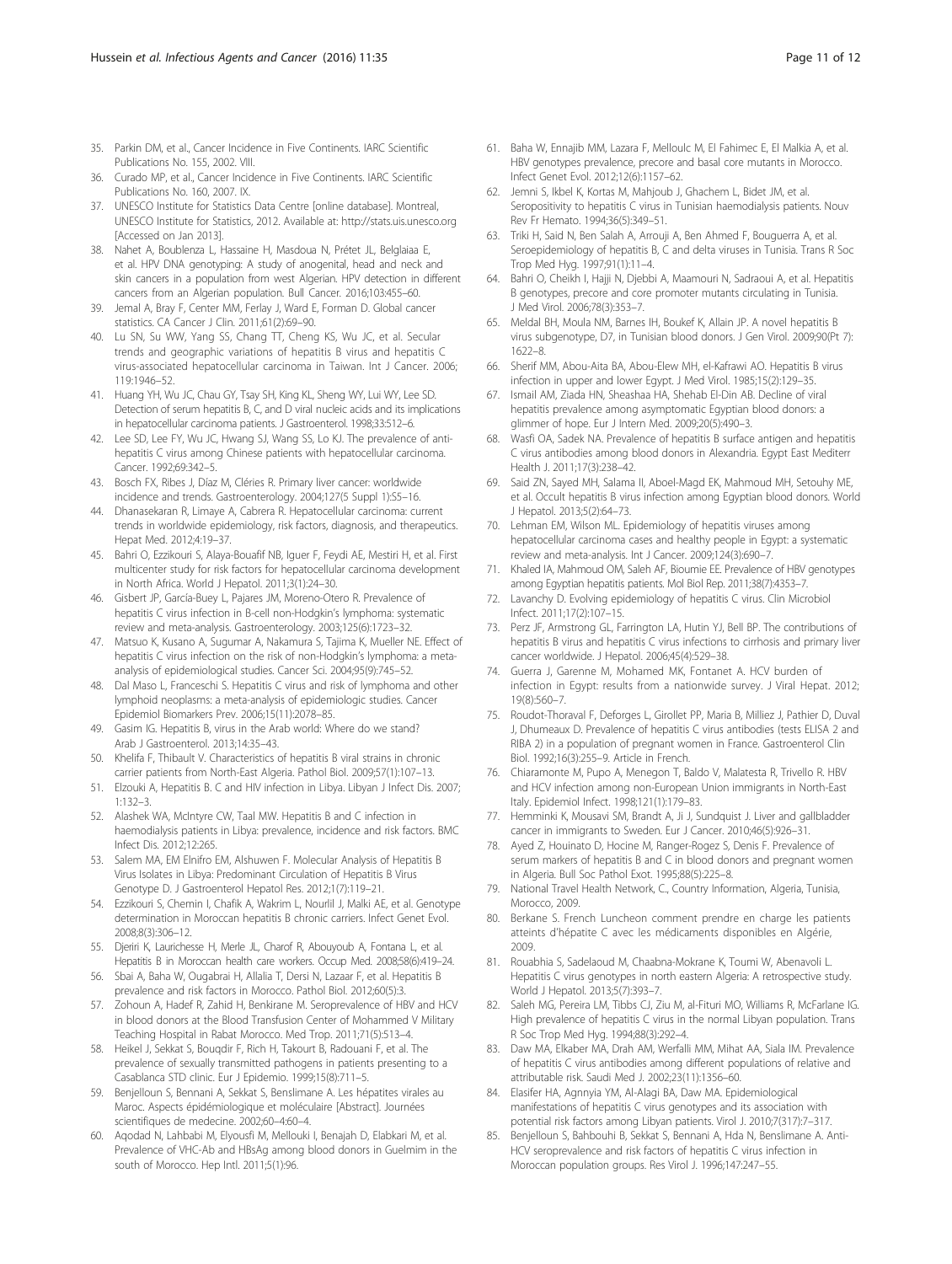- <span id="page-10-0"></span>35. Parkin DM, et al., Cancer Incidence in Five Continents. IARC Scientific Publications No. 155, 2002. VIII.
- 36. Curado MP, et al., Cancer Incidence in Five Continents. IARC Scientific Publications No. 160, 2007. IX.
- 37. UNESCO Institute for Statistics Data Centre [online database]. Montreal, UNESCO Institute for Statistics, 2012. Available at: [http://stats.uis.unesco.org](http://stats.uis.unesco.org/) [Accessed on Jan 2013].
- 38. Nahet A, Boublenza L, Hassaine H, Masdoua N, Prétet JL, Belglaiaa E, et al. HPV DNA genotyping: A study of anogenital, head and neck and skin cancers in a population from west Algerian. HPV detection in different cancers from an Algerian population. Bull Cancer. 2016;103:455–60.
- 39. Jemal A, Bray F, Center MM, Ferlay J, Ward E, Forman D. Global cancer statistics. CA Cancer J Clin. 2011;61(2):69–90.
- 40. Lu SN, Su WW, Yang SS, Chang TT, Cheng KS, Wu JC, et al. Secular trends and geographic variations of hepatitis B virus and hepatitis C virus-associated hepatocellular carcinoma in Taiwan. Int J Cancer. 2006; 119:1946–52.
- 41. Huang YH, Wu JC, Chau GY, Tsay SH, King KL, Sheng WY, Lui WY, Lee SD. Detection of serum hepatitis B, C, and D viral nucleic acids and its implications in hepatocellular carcinoma patients. J Gastroenterol. 1998;33:512–6.
- 42. Lee SD, Lee FY, Wu JC, Hwang SJ, Wang SS, Lo KJ. The prevalence of antihepatitis C virus among Chinese patients with hepatocellular carcinoma. Cancer. 1992;69:342–5.
- 43. Bosch FX, Ribes J, Díaz M, Cléries R. Primary liver cancer: worldwide incidence and trends. Gastroenterology. 2004;127(5 Suppl 1):S5–16.
- 44. Dhanasekaran R, Limaye A, Cabrera R. Hepatocellular carcinoma: current trends in worldwide epidemiology, risk factors, diagnosis, and therapeutics. Hepat Med. 2012;4:19–37.
- 45. Bahri O, Ezzikouri S, Alaya-Bouafif NB, Iguer F, Feydi AE, Mestiri H, et al. First multicenter study for risk factors for hepatocellular carcinoma development in North Africa. World J Hepatol. 2011;3(1):24–30.
- 46. Gisbert JP, García-Buey L, Pajares JM, Moreno-Otero R. Prevalence of hepatitis C virus infection in B-cell non-Hodgkin's lymphoma: systematic review and meta-analysis. Gastroenterology. 2003;125(6):1723–32.
- 47. Matsuo K, Kusano A, Sugumar A, Nakamura S, Tajima K, Mueller NE. Effect of hepatitis C virus infection on the risk of non-Hodgkin's lymphoma: a metaanalysis of epidemiological studies. Cancer Sci. 2004;95(9):745–52.
- 48. Dal Maso L, Franceschi S. Hepatitis C virus and risk of lymphoma and other lymphoid neoplasms: a meta-analysis of epidemiologic studies. Cancer Epidemiol Biomarkers Prev. 2006;15(11):2078–85.
- 49. Gasim IG. Hepatitis B, virus in the Arab world: Where do we stand? Arab J Gastroenterol. 2013;14:35–43.
- 50. Khelifa F, Thibault V. Characteristics of hepatitis B viral strains in chronic carrier patients from North-East Algeria. Pathol Biol. 2009;57(1):107–13.
- 51. Elzouki A, Hepatitis B. C and HIV infection in Libya. Libyan J Infect Dis. 2007; 1:132–3.
- 52. Alashek WA, McIntyre CW, Taal MW. Hepatitis B and C infection in haemodialysis patients in Libya: prevalence, incidence and risk factors. BMC Infect Dis. 2012;12:265.
- 53. Salem MA, EM Elnifro EM, Alshuwen F. Molecular Analysis of Hepatitis B Virus Isolates in Libya: Predominant Circulation of Hepatitis B Virus Genotype D. J Gastroenterol Hepatol Res. 2012;1(7):119–21.
- 54. Ezzikouri S, Chemin I, Chafik A, Wakrim L, Nourlil J, Malki AE, et al. Genotype determination in Moroccan hepatitis B chronic carriers. Infect Genet Evol. 2008;8(3):306–12.
- 55. Djeriri K, Laurichesse H, Merle JL, Charof R, Abouyoub A, Fontana L, et al. Hepatitis B in Moroccan health care workers. Occup Med. 2008;58(6):419–24.
- 56. Sbai A, Baha W, Ougabrai H, Allalia T, Dersi N, Lazaar F, et al. Hepatitis B prevalence and risk factors in Morocco. Pathol Biol. 2012;60(5):3.
- 57. Zohoun A, Hadef R, Zahid H, Benkirane M. Seroprevalence of HBV and HCV in blood donors at the Blood Transfusion Center of Mohammed V Military Teaching Hospital in Rabat Morocco. Med Trop. 2011;71(5):513–4.
- 58. Heikel J, Sekkat S, Bouqdir F, Rich H, Takourt B, Radouani F, et al. The prevalence of sexually transmitted pathogens in patients presenting to a Casablanca STD clinic. Eur J Epidemio. 1999;15(8):711–5.
- 59. Benjelloun S, Bennani A, Sekkat S, Benslimane A. Les hépatites virales au Maroc. Aspects épidémiologique et moléculaire [Abstract]. Journées scientifiques de medecine. 2002;60–4:60–4.
- 60. Aqodad N, Lahbabi M, Elyousfi M, Mellouki I, Benajah D, Elabkari M, et al. Prevalence of VHC-Ab and HBsAg among blood donors in Guelmim in the south of Morocco. Hep Intl. 2011;5(1):96.
- 61. Baha W, Ennajib MM, Lazara F, Melloulc M, El Fahimec E, El Malkia A, et al. HBV genotypes prevalence, precore and basal core mutants in Morocco. Infect Genet Evol. 2012;12(6):1157–62.
- 62. Jemni S, Ikbel K, Kortas M, Mahjoub J, Ghachem L, Bidet JM, et al. Seropositivity to hepatitis C virus in Tunisian haemodialysis patients. Nouv Rev Fr Hemato. 1994;36(5):349–51.
- Triki H, Said N, Ben Salah A, Arrouji A, Ben Ahmed F, Bouguerra A, et al. Seroepidemiology of hepatitis B, C and delta viruses in Tunisia. Trans R Soc Trop Med Hyg. 1997;91(1):11–4.
- 64. Bahri O, Cheikh I, Hajji N, Djebbi A, Maamouri N, Sadraoui A, et al. Hepatitis B genotypes, precore and core promoter mutants circulating in Tunisia. J Med Virol. 2006;78(3):353–7.
- 65. Meldal BH, Moula NM, Barnes IH, Boukef K, Allain JP. A novel hepatitis B virus subgenotype, D7, in Tunisian blood donors. J Gen Virol. 2009;90(Pt 7): 1622–8.
- 66. Sherif MM, Abou-Aita BA, Abou-Elew MH, el-Kafrawi AO. Hepatitis B virus infection in upper and lower Egypt. J Med Virol. 1985;15(2):129–35.
- 67. Ismail AM, Ziada HN, Sheashaa HA, Shehab El-Din AB. Decline of viral hepatitis prevalence among asymptomatic Egyptian blood donors: a glimmer of hope. Eur J Intern Med. 2009;20(5):490–3.
- 68. Wasfi OA, Sadek NA. Prevalence of hepatitis B surface antigen and hepatitis C virus antibodies among blood donors in Alexandria. Egypt East Mediterr Health J. 2011;17(3):238–42.
- 69. Said ZN, Sayed MH, Salama II, Aboel-Magd EK, Mahmoud MH, Setouhy ME, et al. Occult hepatitis B virus infection among Egyptian blood donors. World J Hepatol. 2013;5(2):64–73.
- 70. Lehman EM, Wilson ML. Epidemiology of hepatitis viruses among hepatocellular carcinoma cases and healthy people in Egypt: a systematic review and meta-analysis. Int J Cancer. 2009;124(3):690–7.
- 71. Khaled IA, Mahmoud OM, Saleh AF, Bioumie EE. Prevalence of HBV genotypes among Egyptian hepatitis patients. Mol Biol Rep. 2011;38(7):4353–7.
- 72. Lavanchy D. Evolving epidemiology of hepatitis C virus. Clin Microbiol Infect. 2011;17(2):107–15.
- 73. Perz JF, Armstrong GL, Farrington LA, Hutin YJ, Bell BP. The contributions of hepatitis B virus and hepatitis C virus infections to cirrhosis and primary liver cancer worldwide. J Hepatol. 2006;45(4):529–38.
- 74. Guerra J, Garenne M, Mohamed MK, Fontanet A. HCV burden of infection in Egypt: results from a nationwide survey. J Viral Hepat. 2012; 19(8):560–7.
- 75. Roudot-Thoraval F, Deforges L, Girollet PP, Maria B, Milliez J, Pathier D, Duval J, Dhumeaux D. Prevalence of hepatitis C virus antibodies (tests ELISA 2 and RIBA 2) in a population of pregnant women in France. Gastroenterol Clin Biol. 1992;16(3):255–9. Article in French.
- 76. Chiaramonte M, Pupo A, Menegon T, Baldo V, Malatesta R, Trivello R. HBV and HCV infection among non-European Union immigrants in North-East Italy. Epidemiol Infect. 1998;121(1):179–83.
- 77. Hemminki K, Mousavi SM, Brandt A, Ji J, Sundquist J. Liver and gallbladder cancer in immigrants to Sweden. Eur J Cancer. 2010;46(5):926–31.
- 78. Ayed Z, Houinato D, Hocine M, Ranger-Rogez S, Denis F. Prevalence of serum markers of hepatitis B and C in blood donors and pregnant women in Algeria. Bull Soc Pathol Exot. 1995;88(5):225–8.
- 79. National Travel Health Network, C., Country Information, Algeria, Tunisia, Morocco, 2009.
- 80. Berkane S. French Luncheon comment prendre en charge les patients atteints d'hépatite C avec les médicaments disponibles en Algérie, 2009.
- 81. Rouabhia S, Sadelaoud M, Chaabna-Mokrane K, Toumi W, Abenavoli L. Hepatitis C virus genotypes in north eastern Algeria: A retrospective study. World J Hepatol. 2013;5(7):393–7.
- 82. Saleh MG, Pereira LM, Tibbs CJ, Ziu M, al-Fituri MO, Williams R, McFarlane IG. High prevalence of hepatitis C virus in the normal Libyan population. Trans R Soc Trop Med Hyg. 1994;88(3):292–4.
- 83. Daw MA, Elkaber MA, Drah AM, Werfalli MM, Mihat AA, Siala IM. Prevalence of hepatitis C virus antibodies among different populations of relative and attributable risk. Saudi Med J. 2002;23(11):1356–60.
- 84. Elasifer HA, Agnnyia YM, Al-Alagi BA, Daw MA. Epidemiological manifestations of hepatitis C virus genotypes and its association with potential risk factors among Libyan patients. Virol J. 2010;7(317):7–317.
- 85. Benjelloun S, Bahbouhi B, Sekkat S, Bennani A, Hda N, Benslimane A. Anti-HCV seroprevalence and risk factors of hepatitis C virus infection in Moroccan population groups. Res Virol J. 1996;147:247–55.